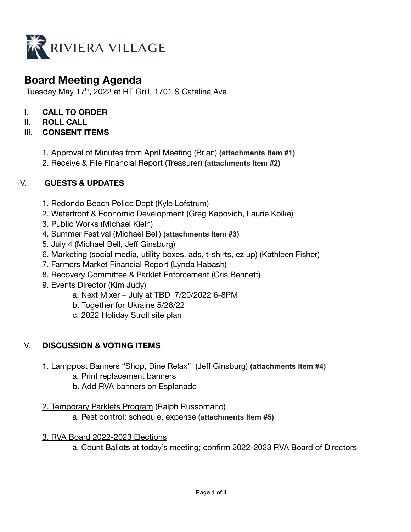

# **Board Meeting Agenda**

Tuesday May 17<sup>th</sup>, 2022 at HT Grill, 1701 S Catalina Ave

- I. **CALL TO ORDER**
- II. **ROLL CALL**

# III. **CONSENT ITEMS**

- 1. Approval of Minutes from April Meeting (Brian) **(attachments Item #1)**
- 2. Receive & File Financial Report (Treasurer) **(attachments Item #2)**

# IV. **GUESTS & UPDATES**

- 1. Redondo Beach Police Dept (Kyle Lofstrum)
- 2. Waterfront & Economic Development (Greg Kapovich, Laurie Koike)
- 3. Public Works (Michael Klein)
- 4. Summer Festival (Michael Bell) **(attachments Item #3)**
- 5. July 4 (Michael Bell, Jeff Ginsburg)
- 6. Marketing (social media, utility boxes, ads, t-shirts, ez up) (Kathleen Fisher)
- 7. Farmers Market Financial Report (Lynda Habash)
- 8. Recovery Committee & Parklet Enforcement (Cris Bennett)
- 9. Events Director (Kim Judy)
	- a. Next Mixer July at TBD 7/20/2022 6-8PM
	- b. Together for Ukraine 5/28/22
	- c. 2022 Holiday Stroll site plan

# V. **DISCUSSION & VOTING ITEMS**

- 1. Lamppost Banners "Shop, Dine Relax" (Jeff Ginsburg) **(attachments Item #4)**
	- a. Print replacement banners
	- b. Add RVA banners on Esplanade

# 2. Temporary Parklets Program (Ralph Russomano)

a. Pest control; schedule, expense **(attachments Item #5)**

### 3. RVA Board 2022-2023 Elections

a. Count Ballots at today's meeting; confirm 2022-2023 RVA Board of Directors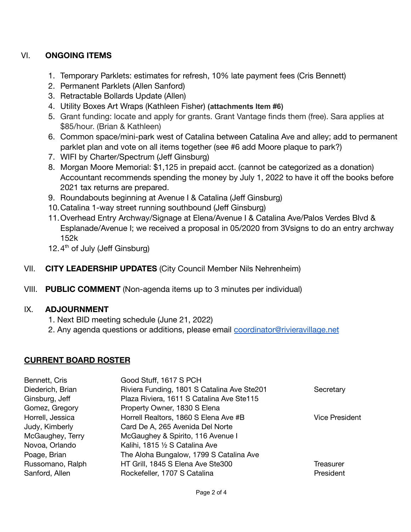# VI. **ONGOING ITEMS**

- 1. Temporary Parklets: estimates for refresh, 10% late payment fees (Cris Bennett)
- 2. Permanent Parklets (Allen Sanford)
- 3. Retractable Bollards Update (Allen)
- 4. Utility Boxes Art Wraps (Kathleen Fisher) **(attachments Item #6)**
- 5. Grant funding: locate and apply for grants. Grant Vantage finds them (free). Sara applies at \$85/hour. (Brian & Kathleen)
- 6. Common space/mini-park west of Catalina between Catalina Ave and alley; add to permanent parklet plan and vote on all items together (see #6 add Moore plaque to park?)
- 7. WIFI by Charter/Spectrum (Jeff Ginsburg)
- 8. Morgan Moore Memorial: \$1,125 in prepaid acct. (cannot be categorized as a donation) Accountant recommends spending the money by July 1, 2022 to have it off the books before 2021 tax returns are prepared.
- 9. Roundabouts beginning at Avenue I & Catalina (Jeff Ginsburg)
- 10.Catalina 1-way street running southbound (Jeff Ginsburg)
- 11.Overhead Entry Archway/Signage at Elena/Avenue I & Catalina Ave/Palos Verdes Blvd & Esplanade/Avenue I; we received a proposal in 05/2020 from 3Vsigns to do an entry archway 152k
- 12. $4<sup>th</sup>$  of July (Jeff Ginsburg)
- VII. **CITY LEADERSHIP UPDATES** (City Council Member Nils Nehrenheim)
- VIII. **PUBLIC COMMENT** (Non-agenda items up to 3 minutes per individual)

### IX. **ADJOURNMENT**

- 1. Next BID meeting schedule (June 21, 2022)
- 2. Any agenda questions or additions, please email [coordinator@rivieravillage.net](mailto:coordinator@rivieravillage.net)

# **CURRENT BOARD ROSTER**

| Bennett, Cris    | Good Stuff, 1617 S PCH                      |                |
|------------------|---------------------------------------------|----------------|
| Diederich, Brian | Riviera Funding, 1801 S Catalina Ave Ste201 | Secretary      |
| Ginsburg, Jeff   | Plaza Riviera, 1611 S Catalina Ave Ste115   |                |
| Gomez, Gregory   | Property Owner, 1830 S Elena                |                |
| Horrell, Jessica | Horrell Realtors, 1860 S Elena Ave #B       | Vice President |
| Judy, Kimberly   | Card De A, 265 Avenida Del Norte            |                |
| McGaughey, Terry | McGaughey & Spirito, 116 Avenue I           |                |
| Novoa, Orlando   | Kalihi, 1815 1/2 S Catalina Ave             |                |
| Poage, Brian     | The Aloha Bungalow, 1799 S Catalina Ave     |                |
| Russomano, Ralph | HT Grill, 1845 S Elena Ave Ste300           | Treasurer      |
| Sanford, Allen   | Rockefeller, 1707 S Catalina                | President      |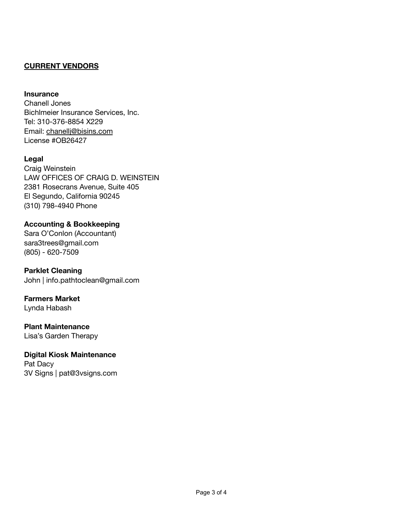### **CURRENT VENDORS**

#### **Insurance**

Chanell Jones Bichlmeier Insurance Services, Inc. Tel: 310-376-8854 X229 Email: [chanellj@bisins.com](mailto:chanellj@bisins.com) License #OB26427

#### **Legal**

Craig Weinstein LAW OFFICES OF CRAIG D. WEINSTEIN 2381 Rosecrans Avenue, Suite 405 El Segundo, California 90245 (310) 798-4940 Phone

#### **Accounting & Bookkeeping**

Sara O'Conlon (Accountant) sara3trees@gmail.com (805) - 620-7509

**Parklet Cleaning** John | info.pathtoclean@gmail.com

**Farmers Market** Lynda Habash

**Plant Maintenance** Lisa's Garden Therapy

**Digital Kiosk Maintenance** Pat Dacy 3V Signs | pat@3vsigns.com